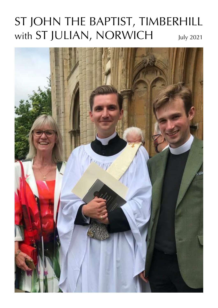# ST JOHN THE BAPTIST, TIMBERHILL with ST JULIAN, NORWICH July 2021

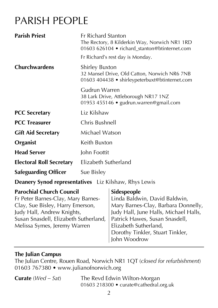## PARISH PEOPLE

| <b>Parish Priest</b>                                                                                                                                                                                             | <b>Fr Richard Stanton</b><br>The Rectory, 8 Kilderkin Way, Norwich NR1 1RD<br>01603 626104 · richard stanton@btinternet.com                                                                                                |                                                                                                                                                                                                                                             |  |  |  |
|------------------------------------------------------------------------------------------------------------------------------------------------------------------------------------------------------------------|----------------------------------------------------------------------------------------------------------------------------------------------------------------------------------------------------------------------------|---------------------------------------------------------------------------------------------------------------------------------------------------------------------------------------------------------------------------------------------|--|--|--|
|                                                                                                                                                                                                                  |                                                                                                                                                                                                                            | Fr Richard's rest day is Monday.                                                                                                                                                                                                            |  |  |  |
| <b>Churchwardens</b>                                                                                                                                                                                             | <b>Shirley Buxton</b><br>32 Mansel Drive, Old Catton, Norwich NR6 7NB<br>01603 404438 • shirleypeterbuxt@btinternet.com<br>Gudrun Warren<br>38 Lark Drive, Attleborough NR17 1NZ<br>01953 455146 · gudrun.warren@gmail.com |                                                                                                                                                                                                                                             |  |  |  |
|                                                                                                                                                                                                                  |                                                                                                                                                                                                                            |                                                                                                                                                                                                                                             |  |  |  |
| <b>PCC Secretary</b>                                                                                                                                                                                             | Liz Kilshaw                                                                                                                                                                                                                |                                                                                                                                                                                                                                             |  |  |  |
| <b>PCC Treasurer</b>                                                                                                                                                                                             | Chris Bushnell                                                                                                                                                                                                             |                                                                                                                                                                                                                                             |  |  |  |
| <b>Gift Aid Secretary</b>                                                                                                                                                                                        | Michael Watson                                                                                                                                                                                                             |                                                                                                                                                                                                                                             |  |  |  |
| Organist                                                                                                                                                                                                         | Keith Buxton                                                                                                                                                                                                               |                                                                                                                                                                                                                                             |  |  |  |
| <b>Head Server</b>                                                                                                                                                                                               | John Foottit                                                                                                                                                                                                               |                                                                                                                                                                                                                                             |  |  |  |
| <b>Electoral Roll Secretary</b>                                                                                                                                                                                  | Elizabeth Sutherland                                                                                                                                                                                                       |                                                                                                                                                                                                                                             |  |  |  |
| <b>Safeguarding Officer</b>                                                                                                                                                                                      | Sue Bisley                                                                                                                                                                                                                 |                                                                                                                                                                                                                                             |  |  |  |
| <b>Deanery Synod representatives</b> Liz Kilshaw, Rhys Lewis                                                                                                                                                     |                                                                                                                                                                                                                            |                                                                                                                                                                                                                                             |  |  |  |
| <b>Parochial Church Council</b><br>Fr Peter Barnes-Clay, Mary Barnes-<br>Clay, Sue Bisley, Harry Emerson,<br>Judy Hall, Andrew Knights,<br>Susan Snasdell, Elizabeth Sutherland,<br>Melissa Symes, Jeremy Warren |                                                                                                                                                                                                                            | Sidespeople<br>Linda Baldwin, David Baldwin,<br>Mary Barnes-Clay, Barbara Donnelly,<br>Judy Hall, June Halls, Michael Halls,<br>Patrick Hawes, Susan Snasdell,<br>Elizabeth Sutherland,<br>Dorothy Tinkler, Stuart Tinkler,<br>John Woodrow |  |  |  |

#### **The Julian Campus**

The Julian Centre, Rouen Road, Norwich NR1 1QT (*closed for refurbishment*) 01603 767380 • www.julianofnorwich.org

**Curate** (*Wed – Sat*) The Revd Edwin Wilton-Morgan 01603 218300 • curate@cathedral.org.uk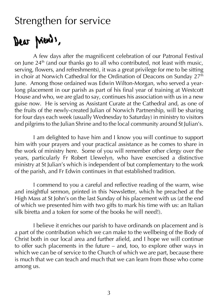### Strengthen for service

# Dear priests,

A few days after the magnificent celebration of our Patronal Festival on June  $24<sup>th</sup>$  (and our thanks go to all who contributed, not least with music, serving, flowers, and refreshments), it was a great privilege for me to be sitting in choir at Norwich Cathedral for the Ordination of Deacons on Sunday  $27^{\text{th}}$ June. Among those ordained was Edwin Wilton-Morgan, who served a yearlong placement in our parish as part of his final year of training at Westcott House and who, we are glad to say, continues his association with us in a new guise now. He is serving as Assistant Curate at the Cathedral and, as one of the fruits of the newly-created Julian of Norwich Partnership, will be sharing for four days each week (usually Wednesday to Saturday) in ministry to visitors and pilgrims to the Julian Shrine and to the local community around St Julian's.

I am delighted to have him and I know you will continue to support him with your prayers and your practical assistance as he comes to share in the work of ministry here. Some of you will remember other clergy over the years, particularly Fr Robert Llewelyn, who have exercised a distinctive ministry at St Julian's which is independent of but complementary to the work of the parish, and Fr Edwin continues in that established tradition.

I commend to you a careful and reflective reading of the warm, wise and insightful sermon, printed in this Newsletter, which he preached at the High Mass at St John's on the last Sunday of his placement with us (at the end of which we presented him with two gifts to mark his time with us: an Italian silk biretta and a token for some of the books he will need!).

I believe it enriches our parish to have ordinands on placement and is a part of the contribution which we can make to the wellbeing of the Body of Christ both in our local area and further afield, and I hope we will continue to offer such placements in the future – and, too, to explore other ways in which we can be of service to the Church of which we are part, because there is much that we can teach and much that we can learn from those who come among us.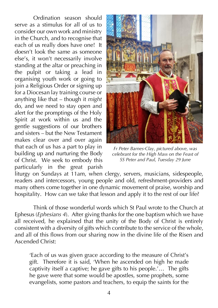Ordination season should serve as a stimulus for all of us to consider our own work and ministry in the Church, and to recognise that each of us really does have one! It doesn't look the same as someone else's, it won't necessarily involve standing at the altar or preaching in the pulpit or taking a lead in organising youth work or going to join a Religious Order or signing up for a Diocesan lay training course or anything like that – though it *might*  do, and we need to stay open and alert for the promptings of the Holy Spirit at work within us and the gentle suggestions of our brothers and sisters – but the New Testament makes clear over and over again that each of us has a part to play in building up and nurturing the Body of Christ. We seek to embody this particularly in the great parish



*Fr Peter Barnes-Clay, pictured above, was celebrant for the High Mass on the Feast of SS Peter and Paul, Tuesday 29 June*

liturgy on Sundays at 11am, when clergy, servers, musicians, sidespeople, readers and intercessors, young people and old, refreshment-providers and many others come together in one dynamic movement of praise, worship and hospitality. How can we take that lesson and apply it to the rest of our life?

Think of those wonderful words which St Paul wrote to the Church at Ephesus (*Ephesians 4*). After giving thanks for the one baptism which we have all received, he explained that the unity of the Body of Christ is entirely consistent with a diversity of gifts which contribute to the service of the whole, and all of this flows from our sharing now in the divine life of the Risen and Ascended Christ:

'Each of us was given grace according to the measure of Christ's gift. Therefore it is said, 'When he ascended on high he made captivity itself a captive; he gave gifts to his people.'… The gifts he gave were that some would be apostles, some prophets, some evangelists, some pastors and teachers, to equip the saints for the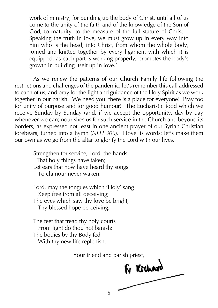work of ministry, for building up the body of Christ, until all of us come to the unity of the faith and of the knowledge of the Son of God, to maturity, to the measure of the full stature of Christ… Speaking the truth in love, we must grow up in every way into him who is the head, into Christ, from whom the whole body, joined and knitted together by every ligament with which it is equipped, as each part is working properly, promotes the body's growth in building itself up in love.'

As we renew the patterns of our Church Family life following the restrictions and challenges of the pandemic, let's remember this call addressed to each of us, and pray for the light and guidance of the Holy Spirit as we work together in our parish. We need you: there is a place for everyone! Pray too for unity of purpose and for good humour! The Eucharistic food which we receive Sunday by Sunday (and, if we accept the opportunity, day by day whenever we can) nourishes us for such service in the Church and beyond its borders, as expressed not least in one ancient prayer of our Syrian Christian forebears, turned into a hymn (*NEH 306*). I love its words: let's make them our own as we go from the altar to glorify the Lord with our lives.

Strengthen for service, Lord, the hands That holy things have taken; Let ears that now have heard thy songs To clamour never waken.

Lord, may the tongues which 'Holy' sang Keep free from all deceiving; The eyes which saw thy love be bright, Thy blessed hope perceiving.

The feet that tread thy holy courts From light do thou not banish; The bodies by thy Body fed With thy new life replenish.

Your friend and parish priest,

For Kichard

5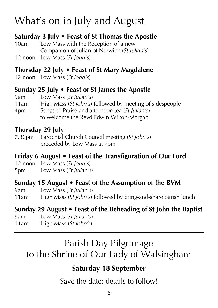# What's on in July and August

### **Saturday 3 July • Feast of St Thomas the Apostle**

10am Low Mass with the Reception of a new Companion of Julian of Norwich (*St Julian's*) 12 noon Low Mass (*St John's*)

### **Thursday 22 July • Feast of St Mary Magdalene**

12 noon Low Mass (*St John's*)

### **Sunday 25 July • Feast of St James the Apostle**

9am Low Mass (*St Julian's*) 11am High Mass (*St John's*) followed by meeting of sidespeople 4pm Songs of Praise and afternoon tea (*St Julian's*) to welcome the Revd Edwin Wilton-Morgan

### **Thursday 29 July**

7.30pm Parochial Church Council meeting (*St John's*) preceded by Low Mass at 7pm

### **Friday 6 August • Feast of the Transfiguration of Our Lord**

12 noon Low Mass (*St John's*)

5pm Low Mass (*St Julian's*)

### **Sunday 15 August • Feast of the Assumption of the BVM**

9am Low Mass (*St Julian's*)

11am High Mass (*St John's*) followed by bring-and-share parish lunch

### **Sunday 29 August • Feast of the Beheading of St John the Baptist**

- 9am Low Mass (*St Julian's*)
- 11am High Mass (*St John's*)

### Parish Day Pilgrimage to the Shrine of Our Lady of Walsingham

### **Saturday 18 September**

Save the date: details to follow!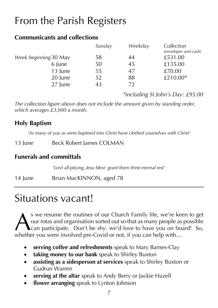# From the Parish Registers

#### **Communicants and collections**

|                       | Sunday | Weekday | Collection<br>(envelopes and cash) |
|-----------------------|--------|---------|------------------------------------|
| Week beginning 30 May | 58     | 44      | £531.00                            |
| 6 June                | 50     | 45      | £135.00                            |
| 13 June               | 55     | 47      | £70.00                             |
| 20 June               | 52     | 88      | £210.00*                           |
| 27 June               | 43     | 72      |                                    |

*\*including St John's Day: £95.00*

*The collection figure above does not include the amount given by standing order, which averages £3,000 a month.*

#### **Holy Baptism**

*'As many of you as were baptised into Christ have clothed yourselves with Christ'*

13 June Beck Robert James COLMAN

### **Funerals and committals**

*'Lord all-pitying, Jesu blest: grant them thine eternal rest'*

14 June Brian MacKINNON, aged 78

### Situations vacant!

s we resume the routines of our Church Family life, we're keen to get our rotas and organisation sorted out so that as many people as possible can participate. Don't be shy: we'd love to have you on board! So, S we resume the routines of our Church Family life, we're ke our rotas and organisation sorted out so that as many people as whether you were involved pre-Covid or not, if you can help with...

- **serving coffee and refreshments** speak to Mary Barnes-Clay
- **taking money to our bank** speak to Shirley Buxton
- **assisting as a sidesperson at services** speak to Shirley Buxton or Gudrun Warren
- **serving at the altar** speak to Andy Berry or Jackie Hazell
- **flower arranging** speak to Lynton Johnson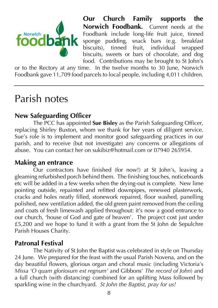

**Our Church Family supports the Norwich Foodbank.** Current needs at the Foodbank include long-life fruit juice, tinned sponge pudding, snack bars (e.g. breakfast biscuits), tinned fruit, individual wrapped biscuits, sweets or bars of chocolate, and dog food. Contributions may be brought to St John's

or to the Rectory at any time. In the twelve months to 30 June, Norwich Foodbank gave 11,709 food parcels to local people, including 4,011 children.

### Parish notes

### **New Safeguarding Officer**

The PCC has appointed **Sue Bisley** as the Parish Safeguarding Officer, replacing Shirley Buxton, whom we thank for her years of diligent service. Sue's role is to implement and monitor good safeguarding practices in our parish, and to receive (but not investigate) any concerns or allegations of abuse. You can contact her on sukibiz@hotmail.com or 07940 265954.

#### **Making an entrance**

Our contractors have finished (for now!) at St John's, leaving a gleaming refurbished porch behind them. The finishing touches, noticeboards etc will be added in a few weeks when the drying-out is complete. New lime pointing outside, repainted and refitted downpipes, renewed plasterwork, cracks and holes neatly filled, stonework repaired, floor washed, panelling polished, new ventilation added, the old green paint removed from the ceiling and coats of fresh limewash applied throughout: it's now a good entrance to our church, 'house of God and gate of heaven'. The project cost just under £5,200 and we hope to fund it with a grant from the St John de Sepulchre Parish Houses Charity.

### **Patronal Festival**

The Nativity of St John the Baptist was celebrated in style on Thursday 24 June. We prepared for the feast with the usual Parish Novena, and on the day beautiful flowers, glorious organ and choral music (including Victoria's *Missa 'O quam gloriosum est regnum'* and Gibbons' *The record of John*) and a full church (with distancing) combined for an uplifting Mass followed by sparkling wine in the churchyard. *St John the Baptist, pray for us!*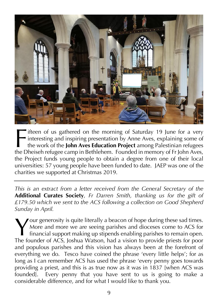

ifteen of us gathered on the morning of Saturday 19 June for a very interesting and inspiring presentation by Anne Aves, explaining some of the work of the **John Aves Education Project** among Palestinian refugees Tifteen of us gathered on the morning of Saturday 19 June for a very<br>interesting and inspiring presentation by Anne Aves, explaining some of<br>the work of the **John Aves Education Project** among Palestinian refugees<br>the Dhei the Project funds young people to obtain a degree from one of their local universities: 57 young people have been funded to date. JAEP was one of the charities we supported at Christmas 2019.

*This is an extract from a letter received from the General Secretary of the*  **Additional Curates Society***, Fr Darren Smith, thanking us for the gift of £179.50 which we sent to the ACS following a collection on Good Shepherd Sunday in April.*

our generosity is quite literally a beacon of hope during these sad times. More and more we are seeing parishes and dioceses come to ACS for financial support making up stipends enabling parishes to remain open. Your generosity is quite literally a beacon of hope during these sad times.<br>
More and more we are seeing parishes and dioceses come to ACS for<br>
financial support making up stipends enabling parishes to remain open.<br>
The fo and populous parishes and this vision has always been at the forefront of everything we do. Tesco have coined the phrase 'every little helps'; for as long as I can remember ACS has used the phrase 'every penny goes towards providing a priest, and this is as true now as it was in 1837 [when ACS was founded]. Every penny that you have sent to us is going to make a considerable difference, and for what I would like to thank you.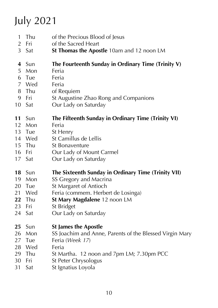# July 2021

- 1 Thu of the Precious Blood of Jesus
- Fri of the Sacred Heart
- Sat **St Thomas the Apostle** 10am and 12 noon LM

#### Sun **The Fourteenth Sunday in Ordinary Time (Trinity V)**

- Mon Feria
- Tue Feria
- Wed Feria
- Thu of Requiem
- 9 Fri St Augustine Zhao Rong and Companions
- 10 Sat Our Lady on Saturday

#### Sun **The Fifteenth Sunday in Ordinary Time (Trinity VI)**

- Mon Feria
- Tue St Henry
- Wed St Camillus de Lellis
- 15 Thu St Bonaventure<br>16 Fri Our Lady of Mo
- Our Lady of Mount Carmel
- 17 Sat Our Lady on Saturday

#### Sun **The Sixteenth Sunday in Ordinary Time (Trinity VII)**

- 19 Mon SS Gregory and Macrina
- Tue St Margaret of Antioch
- 21 Wed Feria (commem. Herbert de Losinga)
- Thu **St Mary Magdalene** 12 noon LM
- Fri St Bridget
- Sat Our Lady on Saturday
- Sun **St James the Apostle**
- 26 Mon SS Joachim and Anne, Parents of the Blessed Virgin Mary
- Tue Feria (*Week 17*)
- Wed Feria
- 29 Thu St Martha. 12 noon and 7pm LM; 7.30pm PCC
- Fri St Peter Chrysologus
- Sat St Ignatius Loyola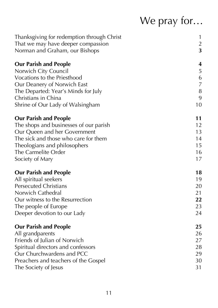# We pray for…

| Thanksgiving for redemption through Christ | 1              |
|--------------------------------------------|----------------|
| That we may have deeper compassion         | $\overline{2}$ |
| Norman and Graham, our Bishops             | 3              |
| <b>Our Parish and People</b>               | 4              |
| Norwich City Council                       | 5              |
| Vocations to the Priesthood                | 6              |
| Our Deanery of Norwich East                | $\overline{7}$ |
| The Departed: Year's Minds for July        | 8              |
| Christians in China                        | 9              |
| Shrine of Our Lady of Walsingham           | 10             |
| <b>Our Parish and People</b>               | 11             |
| The shops and businesses of our parish     | 12             |
| Our Queen and her Government               | 13             |
| The sick and those who care for them       | 14             |
| Theologians and philosophers               | 15             |
| The Carmelite Order                        | 16             |
| Society of Mary                            | 17             |
| <b>Our Parish and People</b>               | 18             |
| All spiritual seekers                      | 19             |
| <b>Persecuted Christians</b>               | 20             |
| Norwich Cathedral                          | 21             |
| Our witness to the Resurrection            | 22             |
| The people of Europe                       | 23             |
| Deeper devotion to our Lady                | 24             |
| <b>Our Parish and People</b>               | 25             |
| All grandparents                           | 26             |
| Friends of Julian of Norwich               | 27             |
| Spiritual directors and confessors         | 28             |
| Our Churchwardens and PCC                  | 29             |
| Preachers and teachers of the Gospel       | 30             |
| The Society of Jesus                       | 31             |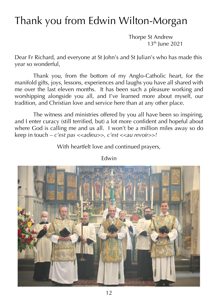## Thank you from Edwin Wilton-Morgan

Thorpe St Andrew  $13<sup>th</sup>$  lune 2021

Dear Fr Richard, and everyone at St John's and St Julian's who has made this year so wonderful,

Thank you, from the bottom of my Anglo-Catholic heart, for the manifold gifts, joys, lessons, experiences and laughs you have all shared with me over the last eleven months. It has been such a pleasure working and worshipping alongside you all, and I've learned more about myself, our tradition, and Christian love and service here than at any other place.

The witness and ministries offered by you all have been so inspiring, and I enter curacy (still terrified, but) a lot more confident and hopeful about where God is calling me and us all. I won't be a million miles away so do keep in touch – *c'est pas <<adieu>>, c'est <<au revoir>>!*

With heartfelt love and continued prayers,



Edwin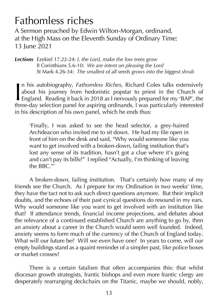### Fathomless riches

A Sermon preached by Edwin Wilton-Morgan, ordinand, at the High Mass on the Eleventh Sunday of Ordinary Time: 13 June 2021

*Lections* Ezekiel 17.22-24: *I, the Lord, make the low trees grow* II Corinthians 5.6-10: *We are intent on pleasing the Lord* St Mark 4.26-34: *The smallest of all seeds grows into the biggest shrub*

n his autobiography, *Fathomless Riches*, Richard Coles talks extensively about his journey from hedonistic popstar to priest in the Church of **England. Reading it back in 2018 as I nervously prepared for my 'BAP', the** In his autobiography, *Fathomless Riches*, Richard Coles talks extensively about his journey from hedonistic popstar to priest in the Church of England. Reading it back in 2018 as I nervously prepared for my 'BAP', the thr in his description of his own panel, which he ends thus:

'Finally, I was asked to see the head selector, a grey-haired Archdeacon who invited me to sit down. He had my file open in front of him on the desk and said, "Why would someone like you want to get involved with a broken-down, failing institution that's lost any sense of its tradition, hasn't got a clue where it's going and can't pay its bills?" I replied "Actually, I'm thinking of leaving the BBC."'

A broken-down, failing institution. That's certainly how many of my friends see the Church. As I prepare for my Ordination in two weeks' time, they have the tact not to ask such direct questions anymore. But their implicit doubts, and the echoes of their past cynical questions do resound in my ears. Why would someone like you want to get involved with an institution like that? If attendance trends, financial income projections, and debates about the relevance of a continued established Church are anything to go by, then an anxiety about a career in the Church would seem well founded. Indeed, anxiety seems to form much of the currency of the Church of England today. What will our future be? Will we even have one? In years to come, will our empty buildings stand as a quaint reminder of a simpler past, like police boxes or market crosses?

There is a certain fatalism that often accompanies this: that whilst diocesan growth strategists, frantic bishops and even more frantic clergy are desperately rearranging deckchairs on the Titanic, maybe we should, nobly,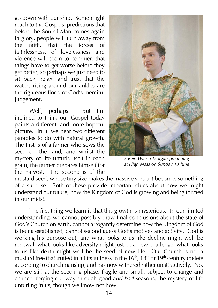go down with our ship. Some might reach to the Gospels' predictions that before the Son of Man comes again in glory, people will turn away from the faith, that the forces of faithlessness, of lovelessness and violence will seem to conquer, that things have to get worse before they get better, so perhaps we just need to sit back, relax, and trust that the waters rising around our ankles are the righteous flood of God's merciful judgement.

Well, perhaps. But I'm inclined to think our Gospel today paints a different, and more hopeful picture. In it, we hear two different parables to do with natural growth. The first is of a farmer who sows the seed on the land, and whilst the mystery of life unfurls itself in each grain, the farmer prepares himself for the harvest. The second is of the



*Edwin Wilton-Morgan preaching at High Mass on Sunday 13 June*

mustard seed, whose tiny size makes the massive shrub it becomes something of a surprise. Both of these provide important clues about how we might understand our future, how the Kingdom of God is growing and being formed in our midst.

The first thing we learn is that this growth is mysterious. In our limited understanding, we cannot possibly draw final conclusions about the state of God's Church on earth, cannot arrogantly determine how the Kingdom of God is being established, cannot second guess God's motives and activity. God is working his purpose out, and what looks to us like decline might well be renewal, what looks like adversity might just be a new challenge, what looks to us like death might well be the seed of new life. Our Church is not a mustard tree that fruited in all its fullness in the  $16<sup>th</sup>$ ,  $18<sup>th</sup>$  or  $19<sup>th</sup>$  century (delete according to churchmanship) and has now withered rather unattractively. No, we are still at the seedling phase, fragile and small, subject to change and chance, forging our way through good *and bad* seasons, the mystery of life unfurling in us, though we know not how.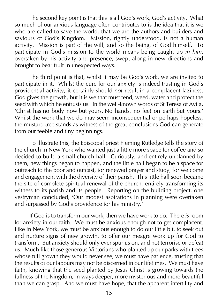The second key point is that this is all God's work, God's activity. What so much of our anxious language often contributes to is the idea that it is we who are called to save the world, that we are the authors and builders and saviours of God's Kingdom. Mission, rightly understood, is not a human activity. Mission is part of the will, and so the being, of God himself. To participate in God's mission to the world means being caught up *in him*, overtaken by his activity and presence, swept along in new directions and brought to bear fruit in unexpected ways.

The third point is that, whilst it may be God's work, we are invited to participate in it. Whilst the cure for our anxiety is indeed trusting in God's providential activity, it certainly should *not* result in a complacent laziness. God gives the growth, but it is we that must tend, weed, water and protect the seed with which he entrusts us. In the well-known words of St Teresa of Avila, 'Christ has no body now but yours. No hands, no feet on earth but yours.' Whilst the work that we do may seem inconsequential or perhaps hopeless, the mustard tree stands as witness of the great conclusions God can generate from our feeble and tiny beginnings.

To illustrate this, the Episcopal priest Fleming Rutledge tells the story of the church in New York who wanted just a little more space for coffee and so decided to build a small church hall. Curiously, and entirely unplanned by them, new things began to happen, and the little hall began to be a space for outreach to the poor and outcast, for renewed prayer and study, for welcome and engagement with the diversity of their parish. This little hall soon became the site of complete spiritual renewal of the church, entirely transforming its witness to its parish and its people. Reporting on the building project, one vestryman concluded, 'Our modest aspirations in planning were overtaken and surpassed by God's providence for his ministry.'

If God is to transform our work, then we have work to do. There *is* room for anxiety in our faith. We must be anxious enough not to get complacent. Like in New York, we must be anxious enough to do our little bit, to seek out and nurture signs of new growth, to offer our meagre work up for God to transform. But anxiety should only ever spur us on, and not terrorise or defeat us. Much like those generous Victorians who planted up our parks with trees whose full growth they would never see, we must have patience, trusting that the results of our labours may not be discerned in our lifetimes. We must have faith, knowing that the seed planted by Jesus Christ is growing towards the fullness of the Kingdom, in ways deeper, more mysterious and more beautiful than we can grasp. And we must have hope, that the apparent infertility and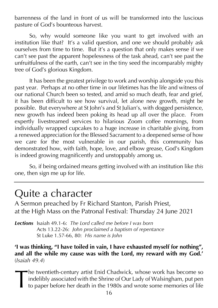barrenness of the land in front of us will be transformed into the luscious pasture of God's bounteous harvest.

So, why would someone like you want to get involved with an institution like that? It's a valid question, and one we should probably ask ourselves from time to time. But it's a question that only makes sense if we can't see past the apparent hopelessness of the task ahead, can't see past the unfruitfulness of the earth, can't see in the tiny seed the incomparably mighty tree of God's glorious Kingdom.

It has been the greatest privilege to work and worship alongside you this past year. Perhaps at no other time in our lifetimes has the life and witness of our national Church been so tested, and amid so much death, fear and grief, it has been difficult to see how survival, let alone new growth, might be possible. But everywhere at St John's and St Julian's, with dogged persistence, new growth has indeed been poking its head up all over the place. From expertly livestreamed services to hilarious Zoom coffee mornings, from individually wrapped cupcakes to a huge increase in charitable giving, from a renewed appreciation for the Blessed Sacrament to a deepened sense of how we care for the most vulnerable in our parish, this community has demonstrated how, with faith, hope, love, and elbow grease, God's Kingdom is indeed growing magnificently and unstoppably among us.

So, if being ordained means getting involved with an institution like *this* one, then sign me up for life.

### Quite a character

A Sermon preached by Fr Richard Stanton, Parish Priest, at the High Mass on the Patronal Festival: Thursday 24 June 2021

*Lections* Isaiah 49.1-6: *The Lord called me before I was born* Acts 13.22-26: *John proclaimed a baptism of repentance* St Luke 1.57-66, 80: *His name is John*

**'I was thinking, "I have toiled in vain, I have exhausted myself for nothing", and all the while my cause was with the Lord, my reward with my God.'**  (*Isaiah 49.4*)

he twentieth-century artist Enid Chadwick, whose work has become so indelibly associated with the Shrine of Our Lady of Walsingham, put pen to paper before her death in the 1980s and wrote some memories of life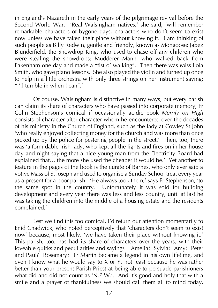in England's Nazareth in the early years of the pilgrimage revival before the Second World War. 'Real Walsingham natives,' she said, 'will remember remarkable characters of bygone days, characters who don't seem to exist now unless we have taken their place without knowing it. I am thinking of such people as Billy Redwin, gentle and friendly, known as Mongoose: Jabez Blunderfield, the Snowdrop King, who used to chase off any children who were stealing the snowdrops: Mudderer Mann, who walked back from Fakenham one day and made a "fist o' walking". Then there was Miss Lola Smith, who gave piano lessons. She also played the violin and turned up once to help in a little orchestra with only three strings on her instrument saying: "I'll tumble in when I can".'

Of course, Walsingham is distinctive in many ways, but every parish can claim its share of characters who have passed into corporate memory; Fr Colin Stephenson's comical if occasionally acidic book *Merrily on High*  consists of character after character whom he encountered over the decades of his ministry in the Church of England, such as the lady at Cowley St John 'who really enjoyed collecting money for the church and was more than once picked up by the police for pestering people in the street.' Then, too, there was 'a formidable Irish lady, who kept all the lights and fires on in her house day and night saying that a nice young man from the Electricity Board had explained that… the more she used the cheaper it would be.' Yet another to feature in the pages of the book is the curate of Barnes, who only ever said a votive Mass of St Joseph and used to organise a Sunday School treat every year as a present for a poor parish. 'He always took them,' says Fr Stephenson, 'to the same spot in the country. Unfortunately it was sold for building development and every year there was less and less country, until at last he was taking the children into the middle of a housing estate and the residents complained.'

Lest we find this too comical, I'd return our attention momentarily to Enid Chadwick, who noted perceptively that 'characters don't seem to exist now' because, most likely, 'we have taken their place without knowing it.' This parish, too, has had its share of characters over the years, with their loveable quirks and peculiarities and sayings – Amelia? Sylvia? Amy? Peter and Paul? Rosemary? Fr Martin became a legend in his own lifetime, and even I know what he would say to X or Y, not least because he was rather better than your present Parish Priest at being able to persuade parishioners what did and did not count as 'N.P.W.'. And it's good and holy that with a smile and a prayer of thankfulness we should call them all to mind today.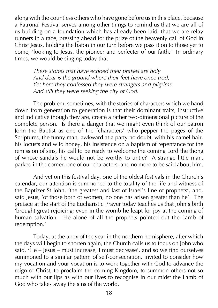along with the countless others who have gone before us in this place, because a Patronal Festival serves among other things to remind us that we are all of us building on a foundation which has already been laid, that we are relay runners in a race, pressing ahead for the prize of the heavenly call of God in Christ Jesus, holding the baton in our turn before we pass it on to those yet to come, 'looking to Jesus, the pioneer and perfecter of our faith.' In ordinary times, we would be singing today that

*These stones that have echoed their praises are holy And dear is the ground where their feet have once trod, Yet here they confessed they were strangers and pilgrims And still they were seeking the city of God.*

The problem, sometimes, with the stories of characters which we hand down from generation to generation is that their dominant traits, instructive and indicative though they are, create a rather two-dimensional picture of the complete person. Is there a danger that we might even think of our patron John the Baptist as one of the 'characters' who pepper the pages of the Scriptures, the funny man, awkward at a party no doubt, with his camel hair, his locusts and wild honey, his insistence on a baptism of repentance for the remission of sins, his call to be ready to welcome the coming Lord the thong of whose sandals he would not be worthy to untie? A strange little man, parked in the corner, one of our characters, and no more to be said about him.

And yet on this festival day, one of the oldest festivals in the Church's calendar, our attention is summoned to the totality of the life and witness of the Baptizer St John, 'the greatest and last of Israel's line of prophets', and, said Jesus, 'of those born of women, no one has arisen greater than he'. The preface at the start of the Eucharistic Prayer today teaches us that John's birth 'brought great rejoicing; even in the womb he leapt for joy at the coming of human salvation. He alone of all the prophets pointed out the Lamb of redemption.'

Today, at the apex of the year in the northern hemisphere, after which the days will begin to shorten again, the Church calls us to focus on John who said, 'He – Jesus – must increase, I must decrease', and so we find ourselves summoned to a similar pattern of self-consecration, invited to consider how my vocation and your vocation is to work together with God to advance the reign of Christ, to proclaim the coming Kingdom, to summon others not so much with our lips as with our lives to recognise in our midst the Lamb of God who takes away the sins of the world.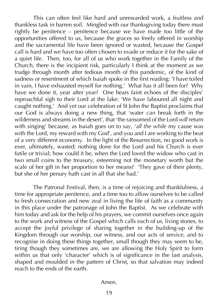This can often feel like hard and unrewarded work, a fruitless and thankless task in barren soil. Mingled with our thanksgiving today there must rightly be penitence – penitence because we have made too little of the opportunities offered to us, because the graces so freely offered in worship and the sacramental life have been ignored or wasted, because the Gospel call is hard and we have too often chosen to evade or reduce it for the sake of a quiet life. Then, too, for all of us who work together in the Family of the Church, there is the incipient risk, particularly I think at the moment as we trudge through month after tedious month of this pandemic, of the kind of sadness or resentment of which Isaiah spoke in the first reading: 'I have toiled in vain, I have exhausted myself for nothing.' What has it all been for? Why have we done it, year after year? One hears faint echoes of the disciples' reproachful sigh to their Lord at the lake: 'We have laboured all night and caught nothing.' And yet our celebration of St John the Baptist proclaims that our God is always doing a new thing, that 'water *can* break forth in the wilderness and streams in the desert', that 'the ransomed of the Lord *will* return with singing' because, as Isaiah goes on to say, '*all the while* my cause was with the Lord, my reward with my God', and you and I are working to the beat of a very different economy. In the light of the Resurrection, no good work is ever, ultimately, wasted; nothing done for the Lord and his Church is ever futile or trivial; how could it be, when the Lord loved the widow who cast in two small coins to the treasury, esteeming not the monetary worth but the scale of her gift in her proportion to her means? 'They gave of their plenty, but she of her penury hath cast in all that she had.'

The Patronal Festival, then, is a time of rejoicing and thankfulness, a time for appropriate penitence, and a time too to allow ourselves to be called to fresh consecration and new zeal in living the life of faith as a community in this place under the patronage of John the Baptist. As we celebrate with him today and ask for the help of his prayers, we commit ourselves once again to the work and witness of the Gospel which calls each of us, living stones, to accept the joyful privilege of sharing together in the building-up of the Kingdom through our worship, our witness, and our acts of service, and to recognise in doing these things together, small though they may seem to be, tiring though they sometimes are, we are allowing the Holy Spirit to form within us that only 'character' which is of significance in the last analysis, shaped and moulded in the pattern of Christ, so that salvation may indeed reach to the ends of the earth.